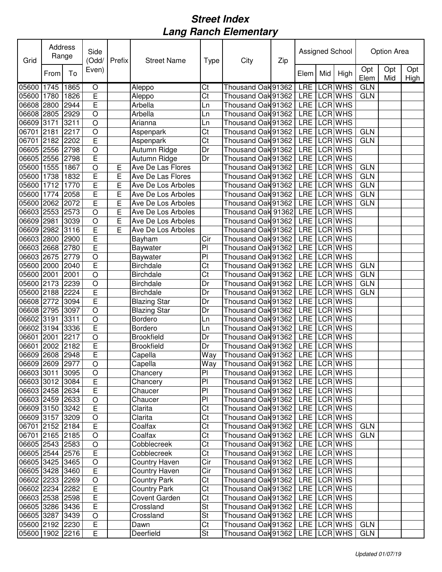| Grid            | Address | Range | Side<br>(Odd/           | Prefix | <b>Street Name</b>   | Type                     | City                               | Zip |                  |     | Assigned School | <b>Option Area</b> |            |             |  |  |
|-----------------|---------|-------|-------------------------|--------|----------------------|--------------------------|------------------------------------|-----|------------------|-----|-----------------|--------------------|------------|-------------|--|--|
|                 | From    | To    | Even)                   |        |                      |                          |                                    |     | Elem             | Mid | High            | Opt<br>Elem        | Opt<br>Mid | Opt<br>High |  |  |
| 05600 1745      |         | 1865  | $\overline{O}$          |        | Aleppo               | Ct                       | Thousand Oak 91362                 |     | LRE              |     | <b>LCR WHS</b>  | <b>GLN</b>         |            |             |  |  |
| 05600 1780      |         | 1826  | E                       |        | Aleppo               | $\overline{\text{Ct}}$   | Thousand Oak 91362                 |     |                  |     | LRE LCRWHS      | <b>GLN</b>         |            |             |  |  |
| 06608 2800      |         | 2944  | Ē                       |        | Arbella              | Ln                       | Thousand Oak 91362                 |     |                  |     | LRE LCR WHS     |                    |            |             |  |  |
| 06608 2805      |         | 2929  | $\overline{O}$          |        | Arbella              | Ln                       | Thousand Oak 91362                 |     | LRE              |     | LCR WHS         |                    |            |             |  |  |
| 06609 3171      |         | 3211  | $\circ$                 |        | Arianna              | Ln                       | Thousand Oak 91362                 |     | LRE              |     | LCR WHS         |                    |            |             |  |  |
| 06701           | 2181    | 2217  | $\circ$                 |        | Aspenpark            | Ct                       | Thousand Oak 91362                 |     | LRE              |     | LCR WHS         | <b>GLN</b>         |            |             |  |  |
| 06701           | 2182    | 2202  | E                       |        | Aspenpark            | Ct                       | Thousand Oak 91362                 |     | LRE              |     | LCR WHS         | <b>GLN</b>         |            |             |  |  |
| 06605 2556      |         | 2798  | $\circ$                 |        | Autumn Ridge         | Dr                       | Thousand Oak 91362                 |     | LRE              |     | LCR WHS         |                    |            |             |  |  |
| 06605 2556      |         | 2798  | E                       |        | Autumn Ridge         | Dr                       | Thousand Oak 91362                 |     | LRE              |     | LCR WHS         |                    |            |             |  |  |
| 05600 1555      |         | 1867  | O                       | E      | Ave De Las Flores    |                          | Thousand Oak 91362                 |     | LRE              |     | LCR WHS         | <b>GLN</b>         |            |             |  |  |
| 05600 1738      |         | 1832  | E                       | E      | Ave De Las Flores    |                          | Thousand Oak 91362                 |     | LRE <sup>T</sup> |     | LCR WHS         | <b>GLN</b>         |            |             |  |  |
| 05600 1712      |         | 1770  | E                       | E      | Ave De Los Arboles   |                          | Thousand Oak 91362                 |     | LRE              |     | LCR WHS         | <b>GLN</b>         |            |             |  |  |
| 05600 1774      |         | 2058  | E                       | E      | Ave De Los Arboles   |                          | Thousand Oak 91362                 |     |                  |     | LRE LCRWHS      | <b>GLN</b>         |            |             |  |  |
| 05600 2062      |         | 2072  | E                       | E      | Ave De Los Arboles   |                          | Thousand Oak 91362                 |     |                  |     | LRE LCR WHS     | <b>GLN</b>         |            |             |  |  |
| 06603 2553      |         | 2573  | $\circ$                 | E      | Ave De Los Arboles   |                          | Thousand Oak 91362                 |     |                  |     | LRE LCRWHS      |                    |            |             |  |  |
| 06609 2981      |         | 3039  | O                       | E      | Ave De Los Arboles   |                          | Thousand Oak 91362                 |     | LRE              |     | LCR WHS         |                    |            |             |  |  |
| 06609 2982      |         | 3116  | E                       | E      | Ave De Los Arboles   |                          | Thousand Oak 91362                 |     | LRE              |     | LCR WHS         |                    |            |             |  |  |
| 06603 2800      |         | 2900  | E                       |        | Bayham               | Cir                      | Thousand Oak 91362                 |     | <b>LRE</b>       |     | LCR WHS         |                    |            |             |  |  |
| 06603 2668      |         | 2780  | Ē                       |        | Baywater             | $\overline{P}$           | Thousand Oak 91362                 |     |                  |     | LRE LCRWHS      |                    |            |             |  |  |
| 06603 2675      |         | 2779  | $\overline{O}$          |        | Baywater             | P <sub>1</sub>           | Thousand Oak 91362                 |     | <b>LRE</b>       |     | <b>LCR WHS</b>  |                    |            |             |  |  |
| 05600 2000      |         | 2040  | Ē                       |        | <b>Birchdale</b>     | Ct                       | Thousand Oak 91362                 |     | <b>LRE</b>       |     | <b>LCR WHS</b>  | <b>GLN</b>         |            |             |  |  |
| 05600 2001      |         | 2001  | $\overline{O}$          |        | <b>Birchdale</b>     | $\overline{\text{C}t}$   | Thousand Oak 91362                 |     |                  |     | LRE LCR WHS     | <b>GLN</b>         |            |             |  |  |
| 05600 2173      |         | 2239  | $\overline{O}$          |        | <b>Birchdale</b>     | Dr                       | Thousand Oak 91362                 |     |                  |     | LRE LCRWHS      | GLN                |            |             |  |  |
| 05600 2188      |         | 2224  | E                       |        | <b>Birchdale</b>     | Dr                       | Thousand Oak 91362                 |     | LRE              |     | <b>LCR WHS</b>  | GLN                |            |             |  |  |
| 06608 2772      |         | 3094  | Ē                       |        | <b>Blazing Star</b>  | Dr                       | Thousand Oak 91362                 |     | LRE              |     | LCR WHS         |                    |            |             |  |  |
| 06608 2795      |         | 3097  | $\circ$                 |        | <b>Blazing Star</b>  | Dr                       | Thousand Oak 91362                 |     | LRE              |     | LCR WHS         |                    |            |             |  |  |
| 06602 3191      |         | 3311  | $\circ$                 |        | Bordero              | Ln                       | Thousand Oak 91362                 |     | LRE              |     | LCR WHS         |                    |            |             |  |  |
| 06602 3194      |         | 3336  | E                       |        | Bordero              | Ln                       | Thousand Oak 91362                 |     | LRE              |     | LCR WHS         |                    |            |             |  |  |
| 06601           | 2001    | 2217  | $\circ$                 |        | <b>Brookfield</b>    | Dr                       | Thousand Oak 91362                 |     | LRE              |     | LCR WHS         |                    |            |             |  |  |
| 06601           | 2002    | 2182  | E                       |        | <b>Brookfield</b>    | Dr                       | Thousand Oak 91362                 |     |                  |     | LRE LCR WHS     |                    |            |             |  |  |
| 06609 2608      |         | 2948  | E                       |        | Capella              | Way                      | Thousand Oak 91362                 |     |                  |     | LRE LCRWHS      |                    |            |             |  |  |
| 06609 2609 2977 |         |       | $\mathsf O$             |        | Capella              |                          | Way Thousand Oak 91362 LRE LCR WHS |     |                  |     |                 |                    |            |             |  |  |
| 06603 3011 3095 |         |       | $\circ$                 |        | Chancery             | PI                       | Thousand Oak 91362   LRE   LCR WHS |     |                  |     |                 |                    |            |             |  |  |
| 06603 3012 3084 |         |       | E                       |        | Chancery             | P <sub>1</sub>           | Thousand Oak 91362   LRE   LCR WHS |     |                  |     |                 |                    |            |             |  |  |
| 06603 2458 2634 |         |       | $\overline{E}$          |        | Chaucer              | PI                       | Thousand Oak 91362                 |     |                  |     | LRE LCR WHS     |                    |            |             |  |  |
| 06603 2459 2633 |         |       | $\bigcirc$              |        | Chaucer              | PI                       | Thousand Oak 91362                 |     |                  |     | LRE LCR WHS     |                    |            |             |  |  |
| 06609 3150 3242 |         |       | $\overline{\mathsf{E}}$ |        | Clarita              | Ct                       | Thousand Oak 91362                 |     |                  |     | LRE LCR WHS     |                    |            |             |  |  |
| 06609 3157 3209 |         |       | $\overline{O}$          |        | Clarita              | Ct                       | Thousand Oak 91362                 |     |                  |     | LRE LCR WHS     |                    |            |             |  |  |
| 06701 2152 2184 |         |       | $\overline{E}$          |        | Coalfax              | Ct                       | Thousand Oak 91362                 |     |                  |     | LRE LCR WHS     | <b>GLN</b>         |            |             |  |  |
| 06701 2165 2185 |         |       | $\overline{O}$          |        | Coalfax              | Ct                       | Thousand Oak 91362                 |     |                  |     | LRE LCR WHS     | <b>GLN</b>         |            |             |  |  |
| 06605 2543 2583 |         |       | $\overline{O}$          |        | Cobblecreek          | Ct                       | Thousand Oak 91362                 |     |                  |     | LRE LCR WHS     |                    |            |             |  |  |
| 06605 2544 2576 |         |       | $\overline{E}$          |        | Cobblecreek          | Ct                       | Thousand Oak 91362                 |     |                  |     | LRE LCR WHS     |                    |            |             |  |  |
| 06605 3425 3465 |         |       | $\bigcirc$              |        | <b>Country Haven</b> | Cir                      | Thousand Oak 91362                 |     |                  |     | LRE LCR WHS     |                    |            |             |  |  |
| 06605 3428 3460 |         |       | $\overline{\mathsf{E}}$ |        | <b>Country Haven</b> | $\overline{C}$ ir        | Thousand Oak 91362                 |     |                  |     | LRE LCR WHS     |                    |            |             |  |  |
| 06602 2233 2269 |         |       | $\circ$                 |        | <b>Country Park</b>  | Ct                       | Thousand Oak 91362                 |     |                  |     | LRE LCR WHS     |                    |            |             |  |  |
| 06602 2234 2282 |         |       | $\mathsf E$             |        | <b>Country Park</b>  | $\overline{\text{C}t}$   | Thousand Oak 91362                 |     |                  |     | LRE LCR WHS     |                    |            |             |  |  |
| 06603 2538 2598 |         |       | $\mathsf E$             |        | Covent Garden        | $\overline{\text{C}t}$   | Thousand Oak 91362                 |     |                  |     | LRE LCR WHS     |                    |            |             |  |  |
| 06605 3286 3436 |         |       | $\overline{\mathsf{E}}$ |        | Crossland            | <b>St</b>                | Thousand Oak 91362                 |     |                  |     | LRE LCR WHS     |                    |            |             |  |  |
| 06605 3287      |         | 3439  | $\circ$                 |        | Crossland            | $\overline{\mathsf{St}}$ | Thousand Oak 91362                 |     |                  |     | LRE LCR WHS     |                    |            |             |  |  |
| 05600 2192 2230 |         |       | E                       |        | Dawn                 | $\overline{\text{C}t}$   | Thousand Oak 91362                 |     |                  |     | LRE LCR WHS     | <b>GLN</b>         |            |             |  |  |
| 05600 1902 2216 |         |       | E                       |        | Deerfield            | <b>St</b>                | Thousand Oak 91362 LRE LCR WHS     |     |                  |     |                 | <b>GLN</b>         |            |             |  |  |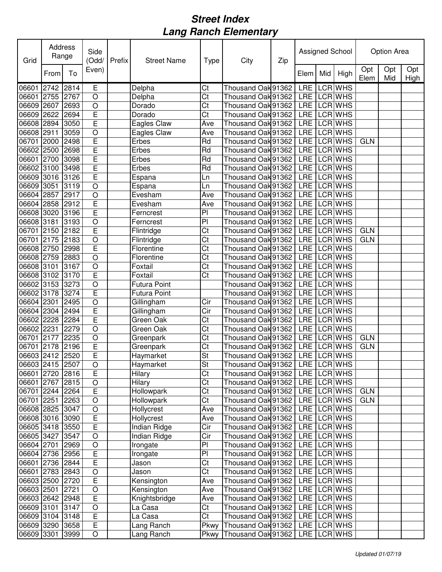| Grid            | Address<br>Range |      | Side<br>(Odd/           | Prefix | <b>Street Name</b>  | Type                   | City                               | Zip | Assigned School |     |                | Option Area |            |             |  |
|-----------------|------------------|------|-------------------------|--------|---------------------|------------------------|------------------------------------|-----|-----------------|-----|----------------|-------------|------------|-------------|--|
|                 | From             | To   | Even)                   |        |                     |                        |                                    |     | Elem            | Mid | High           | Opt<br>Elem | Opt<br>Mid | Opt<br>High |  |
| 06601           | 2742             | 2814 | E                       |        | Delpha              | Ct                     | Thousand Oak 91362                 |     | LRE             |     | <b>LCR WHS</b> |             |            |             |  |
| 06601 2755      |                  | 2767 | $\overline{O}$          |        | Delpha              | Ct                     | Thousand Oak 91362                 |     | <b>LRE</b>      |     | <b>LCR WHS</b> |             |            |             |  |
| 06609 2607      |                  | 2693 | $\circ$                 |        | Dorado              | Ct                     | Thousand Oak 91362                 |     | <b>LRE</b>      |     | LCR WHS        |             |            |             |  |
| 06609 2622      |                  | 2694 | $\overline{E}$          |        | Dorado              | Ct                     | Thousand Oak 91362                 |     | LRE             |     | <b>LCR WHS</b> |             |            |             |  |
| 06608 2894      |                  | 3050 | $\overline{\mathsf{E}}$ |        | Eagles Claw         | Ave                    | Thousand Oak 91362                 |     | LRE             |     | <b>LCR WHS</b> |             |            |             |  |
| 06608 2911      |                  | 3059 | $\circ$                 |        | Eagles Claw         | Ave                    | Thousand Oak 91362                 |     | <b>LRE</b>      |     | <b>LCR WHS</b> |             |            |             |  |
| 06701 2000      |                  | 2498 | $\overline{E}$          |        | Erbes               | Rd                     | Thousand Oak 91362                 |     | LRE             |     | <b>LCR WHS</b> | <b>GLN</b>  |            |             |  |
| 06602 2500      |                  | 2698 | E                       |        | Erbes               | Rd                     | Thousand Oak 91362                 |     |                 |     | LRE LCRWHS     |             |            |             |  |
| 06601 2700      |                  | 3098 | E                       |        | Erbes               | Rd                     | Thousand Oak 91362                 |     | LRE             |     | <b>LCR WHS</b> |             |            |             |  |
| 06602 3100      |                  | 3498 | E                       |        | Erbes               | Rd                     | Thousand Oak 91362                 |     | <b>LRE</b>      |     | <b>LCR WHS</b> |             |            |             |  |
| 06609 3016      |                  | 3126 | $\overline{E}$          |        | Espana              | Ln                     | Thousand Oak 91362                 |     | <b>LRE</b>      |     | <b>LCR WHS</b> |             |            |             |  |
| 06609 3051      |                  | 3119 | $\circ$                 |        | Espana              | Ln                     | Thousand Oak 91362                 |     |                 |     | LRE LCR WHS    |             |            |             |  |
| 06604 2857      |                  | 2917 | $\circ$                 |        | Evesham             | Ave                    | Thousand Oak 91362                 |     |                 |     | LRE LCR WHS    |             |            |             |  |
| 06604 2858      |                  | 2912 | E                       |        | Evesham             | Ave                    | Thousand Oak 91362                 |     | <b>LRE</b>      |     | <b>LCR WHS</b> |             |            |             |  |
| 06608 3020      |                  | 3196 | Ē                       |        | Ferncrest           | P <sub>1</sub>         | Thousand Oak 91362                 |     | LRE             |     | <b>LCR WHS</b> |             |            |             |  |
| 06608 3181      |                  | 3193 | $\overline{O}$          |        | Ferncrest           | P                      | Thousand Oak 91362                 |     | <b>LRE</b>      |     | <b>LCR WHS</b> |             |            |             |  |
| 06701 2150      |                  | 2182 | Ē                       |        | Flintridge          | Ct                     | Thousand Oak 91362                 |     | LRE             |     | <b>LCR WHS</b> | <b>GLN</b>  |            |             |  |
| 06701 2175      |                  | 2183 | $\circ$                 |        | Flintridge          | Ct                     | Thousand Oak 91362                 |     | <b>LRE</b>      |     | <b>LCR WHS</b> | <b>GLN</b>  |            |             |  |
| 06608 2750      |                  | 2998 | $\overline{E}$          |        | Florentine          | Ct                     | Thousand Oak 91362                 |     | <b>LRE</b>      |     | <b>LCR WHS</b> |             |            |             |  |
| 06608 2759      |                  | 2883 | $\overline{O}$          |        | Florentine          | Ct                     | Thousand Oak 91362                 |     | <b>LRE</b>      |     | LCR WHS        |             |            |             |  |
| 06608 3101      |                  | 3167 | $\overline{O}$          |        | Foxtail             | Ct                     | Thousand Oak 91362                 |     | LRE             |     | <b>LCR WHS</b> |             |            |             |  |
| 06608 3102      |                  | 3170 | E                       |        | Foxtail             | Ct                     | Thousand Oak 91362                 |     | <b>LRE</b>      |     | <b>LCR WHS</b> |             |            |             |  |
| 06602 3153      |                  | 3273 | $\circ$                 |        | <b>Futura Point</b> |                        | Thousand Oak 91362                 |     | <b>LRE</b>      |     | <b>LCR WHS</b> |             |            |             |  |
| 06602 3178      |                  | 3274 | Ē                       |        | <b>Futura Point</b> |                        | Thousand Oak 91362                 |     | LRE             |     | <b>LCR WHS</b> |             |            |             |  |
| 06604 2301      |                  | 2495 | $\circ$                 |        | Gillingham          | Cir                    | Thousand Oak 91362                 |     | LRE             |     | <b>LCR WHS</b> |             |            |             |  |
| 06604 2304      |                  | 2494 | E                       |        | Gillingham          | Cir                    | Thousand Oak 91362                 |     | <b>LRE</b>      |     | <b>LCR WHS</b> |             |            |             |  |
| 06602 2228      |                  | 2284 | E                       |        | Green Oak           | Ct                     | Thousand Oak 91362                 |     | LRE             |     | <b>LCR WHS</b> |             |            |             |  |
| 06602 2231      |                  | 2279 | $\circ$                 |        | Green Oak           | Ct                     | Thousand Oak 91362                 |     |                 |     | LRE LCRWHS     |             |            |             |  |
| 06701 2177      |                  | 2235 | $\circ$                 |        | Greenpark           | Ct                     | Thousand Oak 91362                 |     |                 |     | LRE LCR WHS    | <b>GLN</b>  |            |             |  |
| 06701 2178      |                  | 2196 | E                       |        | Greenpark           | Ct                     | Thousand Oak 91362                 |     | LRE LCRWHS      |     |                | <b>GLN</b>  |            |             |  |
| 06603 2412 2520 |                  |      | E                       |        | Haymarket           | St                     | Thousand Oak 91362                 |     | LRE LCRWHS      |     |                |             |            |             |  |
| 06603 2415 2507 |                  |      | $\overline{O}$          |        | Haymarket           | St                     | Thousand Oak 91362 LRE LCR WHS     |     |                 |     |                |             |            |             |  |
| 06601 2720 2816 |                  |      | E                       |        | Hilary              | $\overline{\text{Ct}}$ | Thousand Oak 91362   LRE   LCR WHS |     |                 |     |                |             |            |             |  |
| 06601 2767 2815 |                  |      | $\overline{O}$          |        | <b>Hilary</b>       | Ct                     | Thousand Oak 91362                 |     |                 |     | LRE LCR WHS    |             |            |             |  |
| 06701 2244 2264 |                  |      | $\overline{\mathsf{E}}$ |        | Hollowpark          | Ct                     | Thousand Oak 91362                 |     |                 |     | LRE LCRWHS     | <b>GLN</b>  |            |             |  |
| 06701 2251      |                  | 2263 | $\overline{O}$          |        | Hollowpark          | Ct                     | Thousand Oak 91362                 |     |                 |     | LRE LCR WHS    | <b>GLN</b>  |            |             |  |
| 06608 2825      |                  | 3047 | $\circ$                 |        | Hollycrest          | Ave                    | Thousand Oak 91362                 |     |                 |     | LRE LCR WHS    |             |            |             |  |
| 06608 3016      |                  | 3090 | $\overline{E}$          |        | Hollycrest          | Ave                    | Thousand Oak 91362                 |     |                 |     | LRE LCR WHS    |             |            |             |  |
| 06605 3418      |                  | 3550 | $\overline{\mathsf{E}}$ |        | Indian Ridge        | Cir                    | Thousand Oak 91362                 |     |                 |     | LRE LCR WHS    |             |            |             |  |
| 06605 3427      |                  | 3547 | $\circ$                 |        | Indian Ridge        | Cir                    | Thousand Oak 91362                 |     |                 |     | LRE LCR WHS    |             |            |             |  |
| 06604 2701      |                  | 2969 | $\circ$                 |        | Irongate            | PI                     | Thousand Oak 91362                 |     |                 |     | LRE LCR WHS    |             |            |             |  |
| 06604 2736      |                  | 2956 | $\overline{E}$          |        | Irongate            | $\overline{P}$         | Thousand Oak 91362                 |     |                 |     | LRE LCR WHS    |             |            |             |  |
| 06601 2736      |                  | 2844 | E                       |        | Jason               | Ct                     | Thousand Oak 91362                 |     |                 |     | LRE LCR WHS    |             |            |             |  |
| 06601 2783      |                  | 2843 | $\circ$                 |        | Jason               | Ct                     | Thousand Oak 91362                 |     |                 |     | LRE LCR WHS    |             |            |             |  |
| 06603 2500      |                  | 2720 | $\overline{E}$          |        | Kensington          | Ave                    | Thousand Oak 91362                 |     |                 |     | LRE LCR WHS    |             |            |             |  |
| 06603 2501      |                  | 2721 | $\circ$                 |        | Kensington          | Ave                    | Thousand Oak 91362                 |     |                 |     | LRE LCR WHS    |             |            |             |  |
| 06603 2642      |                  | 2948 | E                       |        | Knightsbridge       | Ave                    | Thousand Oak 91362                 |     |                 |     | LRE LCR WHS    |             |            |             |  |
| 06609 3101      |                  | 3147 | $\circ$                 |        | La Casa             | Ct                     | Thousand Oak 91362                 |     |                 |     | LRE LCR WHS    |             |            |             |  |
| 06609 3104      |                  | 3148 | E                       |        | La Casa             | $\overline{\text{C}t}$ | Thousand Oak 91362                 |     |                 |     | LRE LCR WHS    |             |            |             |  |
| 06609 3290      |                  | 3658 | $\overline{E}$          |        | Lang Ranch          | Pkwy                   | Thousand Oak 91362                 |     |                 |     | LRE LCR WHS    |             |            |             |  |
| 06609 3301      |                  | 3999 | $\bigcirc$              |        | Lang Ranch          | Pkwy                   | Thousand Oak 91362                 |     |                 |     | LRE LCR WHS    |             |            |             |  |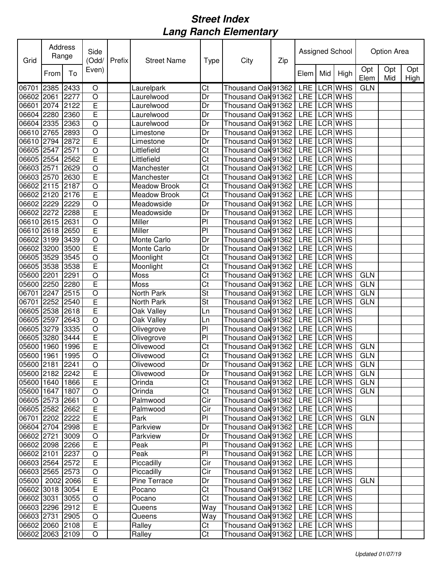| Grid                |      | <b>Address</b><br>Side<br>Range<br>(Odd/ |                         | Prefix | <b>Street Name</b>  | Type                   | City                               | Zip | Assigned School |     |             | Option Area |            |             |
|---------------------|------|------------------------------------------|-------------------------|--------|---------------------|------------------------|------------------------------------|-----|-----------------|-----|-------------|-------------|------------|-------------|
|                     | From | To                                       | Even)                   |        |                     |                        |                                    |     | Elem            | Mid | High        | Opt<br>Elem | Opt<br>Mid | Opt<br>High |
| 06701               | 2385 | 2433                                     | $\circ$                 |        | Laurelpark          | Ct                     | Thousand Oak 91362                 |     |                 |     | LRE LCR WHS | <b>GLN</b>  |            |             |
| 06602 2061          |      | 2277                                     | $\circ$                 |        | Laurelwood          | Dr                     | Thousand Oak 91362                 |     |                 |     | LRE LCRWHS  |             |            |             |
| 06601 2074          |      | 2122                                     | Ē                       |        | Laurelwood          | Dr                     | Thousand Oak 91362                 |     |                 |     | LRE LCR WHS |             |            |             |
| 06604 2280          |      | 2360                                     | $\overline{E}$          |        | Laurelwood          | Dr                     | Thousand Oak 91362                 |     |                 |     | LRE LCR WHS |             |            |             |
| 06604 2335          |      | 2363                                     | $\overline{O}$          |        | Laurelwood          | Dr                     | Thousand Oak 91362                 |     |                 |     | LRE LCRWHS  |             |            |             |
| 06610 2765          |      | 2893                                     | $\circ$                 |        | Limestone           | Dr                     | Thousand Oak 91362                 |     |                 |     | LRE LCRWHS  |             |            |             |
| 06610 2794          |      | 2872                                     | E                       |        | Limestone           | Dr                     | Thousand Oak 91362                 |     |                 |     | LRE LCRWHS  |             |            |             |
| 06605 2547          |      | 2571                                     | $\circ$                 |        | Littlefield         | Ct                     | Thousand Oak 91362                 |     |                 |     | LRE LCR WHS |             |            |             |
| 06605 2554          |      | 2562                                     | E                       |        | Littlefield         | Ct                     | Thousand Oak 91362                 |     |                 |     | LRE LCRWHS  |             |            |             |
| 06603 2571          |      | 2629                                     | $\circ$                 |        | Manchester          | $\overline{\text{C}t}$ | Thousand Oak 91362                 |     |                 |     | LRE LCR WHS |             |            |             |
| 06603 2570          |      | 2630                                     | Ē                       |        | Manchester          | $\overline{\text{C}t}$ | Thousand Oak 91362                 |     |                 |     | LRE LCR WHS |             |            |             |
| 06602 2115          |      | 2187                                     | $\circ$                 |        | <b>Meadow Brook</b> | $\overline{\text{C}t}$ | Thousand Oak 91362                 |     |                 |     | LRE LCR WHS |             |            |             |
| 06602 2120          |      | 2176                                     | E                       |        | <b>Meadow Brook</b> | $\overline{\text{C}t}$ | Thousand Oak 91362                 |     |                 |     | LRE LCR WHS |             |            |             |
| 06602 2229          |      | 2229                                     | $\circ$                 |        | Meadowside          | Dr                     | Thousand Oak 91362                 |     |                 |     | LRE LCRWHS  |             |            |             |
| 06602 2272          |      | 2288                                     | Ē                       |        | Meadowside          | Dr                     | Thousand Oak 91362                 |     |                 |     | LRE LCR WHS |             |            |             |
| 06610 2615          |      | 2631                                     | $\overline{O}$          |        | Miller              | $\overline{P}$         | Thousand Oak 91362                 |     |                 |     | LRE LCR WHS |             |            |             |
| 06610 2618          |      | 2650                                     | Ē                       |        | Miller              | $\overline{P}$         | Thousand Oak 91362                 |     |                 |     | LRE LCR WHS |             |            |             |
| 06602 3199          |      | 3439                                     | $\circ$                 |        | Monte Carlo         | Dr                     | Thousand Oak 91362                 |     |                 |     | LRE LCRWHS  |             |            |             |
| 06602 3200          |      | 3500                                     | $\overline{E}$          |        | Monte Carlo         | Dr                     | Thousand Oak 91362                 |     |                 |     | LRE LCR WHS |             |            |             |
| 06605 3529          |      | 3545                                     | $\circ$                 |        | Moonlight           | Ct                     | Thousand Oak 91362                 |     |                 |     | LRE LCR WHS |             |            |             |
| 06605 3538          |      | 3538                                     | E                       |        | Moonlight           | Ct                     | Thousand Oak 91362                 |     |                 |     | LRE LCR WHS |             |            |             |
| 05600 2201          |      | 2291                                     | $\circ$                 |        | Moss                | Ct                     | Thousand Oak 91362                 |     |                 |     | LRE LCR WHS | <b>GLN</b>  |            |             |
| 05600 2250          |      | 2280                                     | E                       |        | Moss                | Ct                     | Thousand Oak 91362                 |     |                 |     | LRE LCR WHS | <b>GLN</b>  |            |             |
| 06701 2247          |      | 2515                                     | $\circ$                 |        | North Park          | St                     | Thousand Oak 91362                 |     |                 |     | LRE LCR WHS | <b>GLN</b>  |            |             |
| 06701 2252          |      | 2540                                     | E                       |        | North Park          | St                     | Thousand Oak 91362                 |     |                 |     | LRE LCRWHS  | <b>GLN</b>  |            |             |
| 06605 2538          |      | 2618                                     | E                       |        | Oak Valley          | Ln                     | Thousand Oak 91362                 |     |                 |     | LRE LCR WHS |             |            |             |
| 06605 2597          |      | 2643                                     | $\circ$                 |        | Oak Valley          | Ln                     | Thousand Oak 91362                 |     |                 |     | LRE LCR WHS |             |            |             |
| 06605 3279          |      | 3335                                     | $\circ$                 |        | Olivegrove          | PI                     | Thousand Oak 91362                 |     |                 |     | LRE LCR WHS |             |            |             |
| 06605 3280          |      | 3444                                     | E                       |        | Olivegrove          | PI                     | Thousand Oak 91362                 |     |                 |     | LRE LCR WHS |             |            |             |
| 05600 1960          |      | 1996                                     | E                       |        | Olivewood           | Ct                     | Thousand Oak 91362                 |     |                 |     | LRE LCRWHS  | <b>GLN</b>  |            |             |
| 05600 1961          |      | 1995                                     | $\circ$                 |        | Olivewood           | Ct                     | Thousand Oak 91362                 |     | LRE LCRWHS      |     |             | <b>GLN</b>  |            |             |
| 05600 2181 2241     |      |                                          | $\overline{O}$          |        | Olivewood           | Dr                     | Thousand Oak 91362 LRE LCR WHS     |     |                 |     |             | GLN         |            |             |
| 05600 2182 2242     |      |                                          | E                       |        | Olivewood           | Dr                     | Thousand Oak 91362   LRE   LCR WHS |     |                 |     |             | <b>GLN</b>  |            |             |
| 05600 1640 1866     |      |                                          | $\overline{E}$          |        | Orinda              | Ct                     | Thousand Oak 91362   LRE   LCR WHS |     |                 |     |             | <b>GLN</b>  |            |             |
| 05600 1647 1807     |      |                                          | $\circ$                 |        | <b>Orinda</b>       | $\overline{\text{Ct}}$ | Thousand Oak 91362                 |     |                 |     | LRE LCR WHS | <b>GLN</b>  |            |             |
| 06605 2573 2661     |      |                                          | $\circ$                 |        | Palmwood            | Cir                    | Thousand Oak 91362                 |     |                 |     | LRE LCR WHS |             |            |             |
| 06605 2582 2662     |      |                                          | $\overline{\mathsf{E}}$ |        | Palmwood            | Cir                    | Thousand Oak 91362                 |     |                 |     | LRE LCR WHS |             |            |             |
| 06701 2202 2222     |      |                                          | $\overline{E}$          |        | Park                | PI                     | Thousand Oak 91362                 |     |                 |     | LRE LCR WHS | <b>GLN</b>  |            |             |
| 06604 2704 2998     |      |                                          | $\overline{E}$          |        | Parkview            | Dr                     | Thousand Oak 91362                 |     |                 |     | LRE LCR WHS |             |            |             |
| 06602 2721          |      | 3009                                     | $\circ$                 |        | Parkview            | Dr                     | Thousand Oak 91362                 |     |                 |     | LRE LCR WHS |             |            |             |
| 06602 2098 2266     |      |                                          | $\mathsf E$             |        | Peak                | PI                     | Thousand Oak 91362                 |     |                 |     | LRE LCR WHS |             |            |             |
| 06602 2101          |      | 2237                                     | $\circ$                 |        | Peak                | $\overline{P}$         | Thousand Oak 91362                 |     |                 |     | LRE LCR WHS |             |            |             |
| 06603 2564 2572     |      |                                          | E                       |        | Piccadilly          | Cir                    | Thousand Oak 91362                 |     |                 |     | LRE LCRWHS  |             |            |             |
| 06603 2565 2573     |      |                                          | $\bigcirc$              |        | Piccadilly          | Cir                    | Thousand Oak 91362                 |     |                 |     | LRE LCR WHS |             |            |             |
| 05600   2002   2066 |      |                                          | $\mathsf E$             |        | Pine Terrace        | Dr                     | Thousand Oak 91362                 |     |                 |     | LRE LCR WHS | <b>GLN</b>  |            |             |
| 06602 3018 3054     |      |                                          | E                       |        | Pocano              | Ct                     | Thousand Oak 91362                 |     |                 |     | LRE LCR WHS |             |            |             |
| 06602 3031          |      | 3055                                     | $\circ$                 |        | Pocano              | Ct                     | Thousand Oak 91362                 |     |                 |     | LRE LCR WHS |             |            |             |
| 06603 2296 2912     |      |                                          | E                       |        | Queens              | Way                    | Thousand Oak 91362   LRE   LCR WHS |     |                 |     |             |             |            |             |
| 06603 2731 2905     |      |                                          | $\circ$                 |        | Queens              | Way                    | Thousand Oak 91362   LRE   LCR WHS |     |                 |     |             |             |            |             |
| 06602 2060 2108     |      |                                          | $\mathsf E$             |        | Ralley              | Ct                     | Thousand Oak 91362   LRE   LCR WHS |     |                 |     |             |             |            |             |
| 06602 2063 2109     |      |                                          | $\bigcirc$              |        | Ralley              | Ct                     | Thousand Oak 91362                 |     |                 |     | LRE LCR WHS |             |            |             |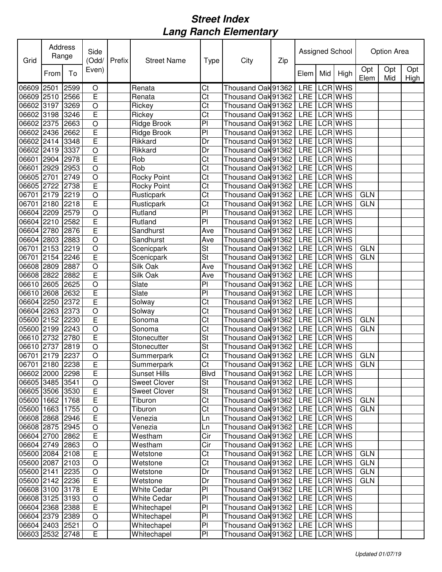| Grid            | <b>Address</b><br>Range |      | Side<br>(Odd/           | Prefix | <b>Street Name</b>  | Type                     | City                               | Zip |             | Assigned School | Option Area |            |             |
|-----------------|-------------------------|------|-------------------------|--------|---------------------|--------------------------|------------------------------------|-----|-------------|-----------------|-------------|------------|-------------|
|                 | From                    | To   | Even)                   |        |                     |                          |                                    |     | Elem Mid    | High            | Opt<br>Elem | Opt<br>Mid | Opt<br>High |
| 06609 2501      |                         | 2599 | $\circ$                 |        | Renata              | Ct                       | Thousand Oak 91362                 |     |             | LRE LCR WHS     |             |            |             |
| 06609 2510      |                         | 2566 | E                       |        | Renata              | Ct                       | Thousand Oak 91362                 |     |             | LRE LCRWHS      |             |            |             |
| 06602 3197      |                         | 3269 | $\overline{O}$          |        | Rickey              | Ct                       | Thousand Oak 91362                 |     |             | LRE LCRWHS      |             |            |             |
| 06602 3198      |                         | 3246 | $\overline{E}$          |        | Rickey              | Ct                       | Thousand Oak 91362                 |     |             | LRE LCRWHS      |             |            |             |
| 06602 2375      |                         | 2663 | $\overline{O}$          |        | Ridge Brook         | P <sub>1</sub>           | Thousand Oak 91362                 |     |             | LRE LCR WHS     |             |            |             |
| 06602 2436      |                         | 2662 | Ē                       |        | Ridge Brook         | P <sub>1</sub>           | Thousand Oak 91362                 |     |             | LRE LCR WHS     |             |            |             |
| 06602 2414      |                         | 3348 | $\overline{\mathsf{E}}$ |        | Rikkard             | Dr                       | Thousand Oak 91362                 |     |             | LRE LCR WHS     |             |            |             |
| 06602 2419      |                         | 3337 | $\circ$                 |        | Rikkard             | Dr                       | Thousand Oak 91362                 |     |             | LRE LCR WHS     |             |            |             |
| 06601 2904      |                         | 2978 | E                       |        | Rob                 | Ct                       | Thousand Oak 91362                 |     |             | LRE LCRWHS      |             |            |             |
| 06601 2929      |                         | 2953 | $\circ$                 |        | Rob                 | Ct                       | Thousand Oak 91362                 |     | LRE LCR WHS |                 |             |            |             |
| 06605 2701      |                         | 2749 | $\circ$                 |        | <b>Rocky Point</b>  | Ct                       | Thousand Oak 91362                 |     | LRE LCR WHS |                 |             |            |             |
| 06605 2722      |                         | 2738 | $\overline{E}$          |        | <b>Rocky Point</b>  | $\overline{\text{C}t}$   | Thousand Oak 91362                 |     |             | LRE LCR WHS     |             |            |             |
| 06701 2179      |                         | 2219 | $\circ$                 |        | Rusticpark          | $\overline{\text{C}t}$   | Thousand Oak 91362                 |     |             | LRE LCR WHS     | <b>GLN</b>  |            |             |
| 06701 2180      |                         | 2218 | E                       |        | Rusticpark          | $\overline{\text{C}t}$   | Thousand Oak 91362                 |     |             | LRE LCR WHS     | <b>GLN</b>  |            |             |
| 06604 2209      |                         | 2579 | $\circ$                 |        | Rutland             | PI                       | Thousand Oak 91362                 |     |             | LRE LCR WHS     |             |            |             |
| 06604 2210      |                         | 2582 | Ē                       |        | Rutland             | PI                       | Thousand Oak 91362                 |     |             | LRE LCR WHS     |             |            |             |
| 06604 2780      |                         | 2876 | Ē                       |        | Sandhurst           | Ave                      | Thousand Oak 91362                 |     |             | LRE LCR WHS     |             |            |             |
| 06604 2803      |                         | 2883 | $\overline{O}$          |        | Sandhurst           | Ave                      | Thousand Oak 91362                 |     |             | LRE LCRWHS      |             |            |             |
| 06701 2153      |                         | 2219 | $\circ$                 |        | Scenicpark          | <b>St</b>                | Thousand Oak 91362                 |     |             | LRE LCRWHS      | <b>GLN</b>  |            |             |
| 06701 2154      |                         | 2246 | E                       |        | Scenicpark          | St                       | Thousand Oak 91362                 |     |             | LRE LCR WHS     | <b>GLN</b>  |            |             |
| 06608 2809      |                         | 2887 | $\overline{O}$          |        | Silk Oak            | Ave                      | Thousand Oak 91362                 |     |             | LRE LCR WHS     |             |            |             |
| 06608 2822      |                         | 2882 | Ē                       |        | Silk Oak            | Ave                      | Thousand Oak 91362                 |     |             | LRE LCR WHS     |             |            |             |
| 06610 2605      |                         | 2625 | $\circ$                 |        | Slate               | P <sub>1</sub>           | Thousand Oak 91362                 |     |             | LRE LCR WHS     |             |            |             |
| 06610 2608      |                         | 2632 | $\overline{E}$          |        | Slate               | PI                       | Thousand Oak 91362                 |     |             | LRE LCRWHS      |             |            |             |
| 06604 2250      |                         | 2372 | Ē                       |        | Solway              | Ct                       | Thousand Oak 91362                 |     | LRE LCR WHS |                 |             |            |             |
| 06604 2263      |                         | 2373 | $\circ$                 |        | Solway              | Ct                       | Thousand Oak 91362                 |     |             | LRE LCR WHS     |             |            |             |
| 05600 2152      |                         | 2230 | E                       |        | Sonoma              | Ct                       | Thousand Oak 91362                 |     |             | LRE LCRWHS      | <b>GLN</b>  |            |             |
| 05600 2199      |                         | 2243 | $\circ$                 |        | Sonoma              | Ct                       | Thousand Oak 91362                 |     |             | LRE LCRWHS      | <b>GLN</b>  |            |             |
| 06610 2732      |                         | 2780 | E                       |        | Stonecutter         | $\overline{\mathsf{St}}$ | Thousand Oak 91362                 |     |             | LRE LCRWHS      |             |            |             |
| 06610 2737      |                         | 2819 | $\circ$                 |        | Stonecutter         | <b>St</b>                | Thousand Oak 91362                 |     |             | LRE LCRWHS      |             |            |             |
| 06701 2179      |                         | 2237 | $\circ$                 |        | Summerpark          | Ct                       | Thousand Oak 91362                 |     | LRE LCRWHS  |                 | <b>GLN</b>  |            |             |
| 06701 2180 2238 |                         |      | $\overline{E}$          |        | Summerpark          | Ct                       | Thousand Oak 91362 LRE LCR WHS     |     |             |                 | <b>GLN</b>  |            |             |
| 06602 2000 2298 |                         |      | Ē                       |        | <b>Sunset Hills</b> | <b>Blvd</b>              | Thousand Oak 91362   LRE   LCR WHS |     |             |                 |             |            |             |
| 06605 3485 3541 |                         |      | $\circ$                 |        | <b>Sweet Clover</b> | St                       | Thousand Oak 91362   LRE   LCR WHS |     |             |                 |             |            |             |
| 06605 3506 3530 |                         |      | $\overline{E}$          |        | <b>Sweet Clover</b> | St                       | Thousand Oak 91362                 |     |             | LRE LCR WHS     |             |            |             |
| 05600 1662 1768 |                         |      | $\overline{E}$          |        | Tiburon             | Ct                       | Thousand Oak 91362                 |     |             | LRE LCR WHS     | <b>GLN</b>  |            |             |
| 05600 1663 1755 |                         |      | $\overline{O}$          |        | Tiburon             | $\overline{\text{C}t}$   | Thousand Oak 91362                 |     |             | LRE LCR WHS     | <b>GLN</b>  |            |             |
| 06608 2868 2946 |                         |      | $\overline{\mathsf{E}}$ |        | Venezia             | Ln                       | Thousand Oak 91362                 |     |             | LRE LCR WHS     |             |            |             |
| 06608 2875 2945 |                         |      | $\circ$                 |        | Venezia             | Ln                       | Thousand Oak 91362                 |     |             | LRE LCR WHS     |             |            |             |
| 06604 2700      |                         | 2862 | $\overline{E}$          |        | Westham             | Cir                      | Thousand Oak 91362                 |     |             | LRE LCR WHS     |             |            |             |
| 06604 2749 2863 |                         |      | $\circ$                 |        | Westham             | Cir                      | Thousand Oak 91362                 |     |             | LRE LCR WHS     |             |            |             |
| 05600 2084 2108 |                         |      | $\mathsf E$             |        | Wetstone            | Ct                       | Thousand Oak 91362                 |     |             | LRE LCR WHS     | <b>GLN</b>  |            |             |
| 05600 2087 2103 |                         |      | $\bigcirc$              |        | Wetstone            | Ct                       | Thousand Oak 91362                 |     |             | LRE LCR WHS     | <b>GLN</b>  |            |             |
| 05600 2141      |                         | 2235 | $\circ$                 |        | Wetstone            | Dr                       | Thousand Oak 91362                 |     |             | LRE LCR WHS     | <b>GLN</b>  |            |             |
| 05600 2142 2236 |                         |      | $\mathsf E$             |        | Wetstone            | Dr                       | Thousand Oak 91362                 |     |             | LRE LCR WHS     | <b>GLN</b>  |            |             |
| 06608 3100      |                         | 3178 | E                       |        | White Cedar         | PI                       | Thousand Oak 91362                 |     |             | LRE LCRWHS      |             |            |             |
| 06608 3125      |                         | 3193 | $\bigcirc$              |        | <b>White Cedar</b>  | PI                       | Thousand Oak 91362                 |     |             | LRE LCR WHS     |             |            |             |
| 06604 2368      |                         | 2388 | E                       |        | Whitechapel         | PI                       | Thousand Oak 91362                 |     |             | LRE LCR WHS     |             |            |             |
| 06604 2379 2389 |                         |      | $\circ$                 |        | Whitechapel         | PI                       | Thousand Oak 91362                 |     |             | LRE LCR WHS     |             |            |             |
| 06604 2403 2521 |                         |      | $\bigcirc$              |        | Whitechapel         | PI                       | Thousand Oak 91362                 |     |             | LRE LCR WHS     |             |            |             |
| 06603 2532 2748 |                         |      | $\mathsf E$             |        | Whitechapel         | PI                       | Thousand Oak 91362                 |     |             | LRE LCR WHS     |             |            |             |